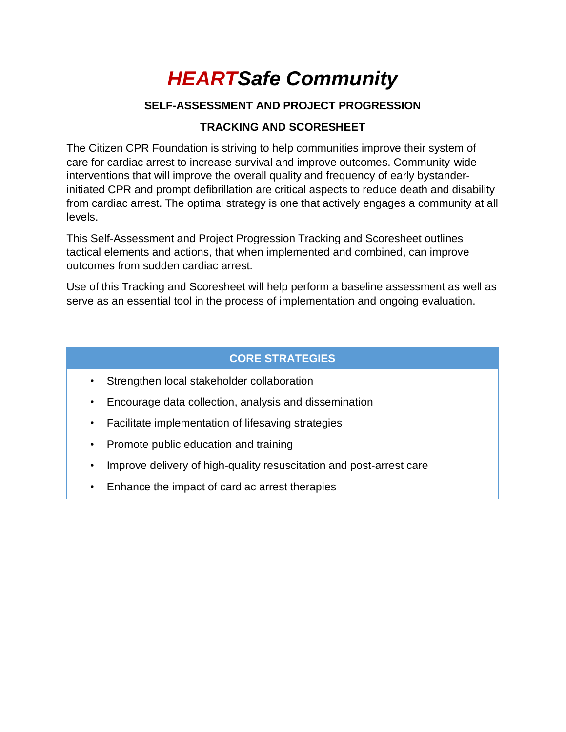# *HEARTSafe Community*

# **SELF-ASSESSMENT AND PROJECT PROGRESSION**

# **TRACKING AND SCORESHEET**

The Citizen CPR Foundation is striving to help communities improve their system of care for cardiac arrest to increase survival and improve outcomes. Community-wide interventions that will improve the overall quality and frequency of early bystanderinitiated CPR and prompt defibrillation are critical aspects to reduce death and disability from cardiac arrest. The optimal strategy is one that actively engages a community at all levels.

This Self-Assessment and Project Progression Tracking and Scoresheet outlines tactical elements and actions, that when implemented and combined, can improve outcomes from sudden cardiac arrest.

Use of this Tracking and Scoresheet will help perform a baseline assessment as well as serve as an essential tool in the process of implementation and ongoing evaluation.

# **CORE STRATEGIES**

- Strengthen local stakeholder collaboration
- Encourage data collection, analysis and dissemination
- Facilitate implementation of lifesaving strategies
- Promote public education and training
- Improve delivery of high-quality resuscitation and post-arrest care
- Enhance the impact of cardiac arrest therapies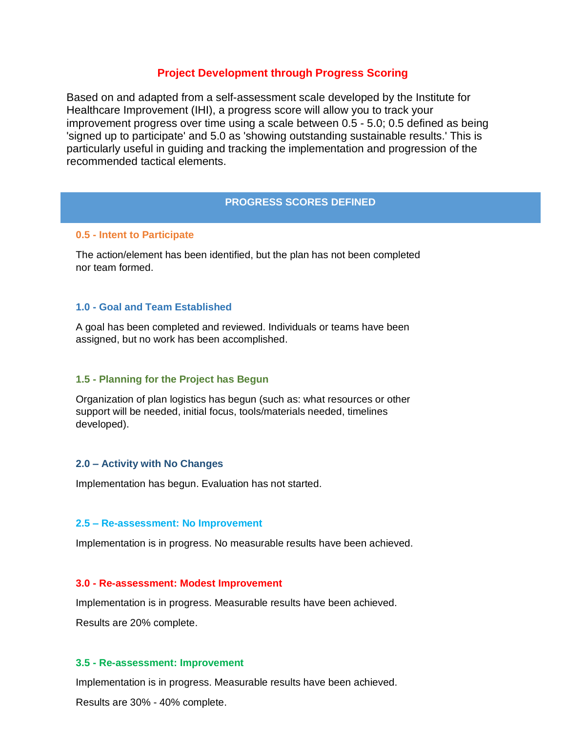#### **Project Development through Progress Scoring**

Based on and adapted from a self-assessment scale developed by the Institute for Healthcare Improvement (IHI), a progress score will allow you to track your improvement progress over time using a scale between 0.5 - 5.0; 0.5 defined as being 'signed up to participate' and 5.0 as 'showing outstanding sustainable results.' This is particularly useful in guiding and tracking the implementation and progression of the recommended tactical elements.

#### **PROGRESS SCORES DEFINED**

#### **0.5 - Intent to Participate**

The action/element has been identified, but the plan has not been completed nor team formed.

#### **1.0 - Goal and Team Established**

A goal has been completed and reviewed. Individuals or teams have been assigned, but no work has been accomplished.

#### **1.5 - Planning for the Project has Begun**

Organization of plan logistics has begun (such as: what resources or other support will be needed, initial focus, tools/materials needed, timelines developed).

#### **2.0 – Activity with No Changes**

Implementation has begun. Evaluation has not started.

#### **2.5 – Re-assessment: No Improvement**

Implementation is in progress. No measurable results have been achieved.

#### **3.0 - Re-assessment: Modest Improvement**

Implementation is in progress. Measurable results have been achieved.

Results are 20% complete.

#### **3.5 - Re-assessment: Improvement**

Implementation is in progress. Measurable results have been achieved. Results are 30% - 40% complete.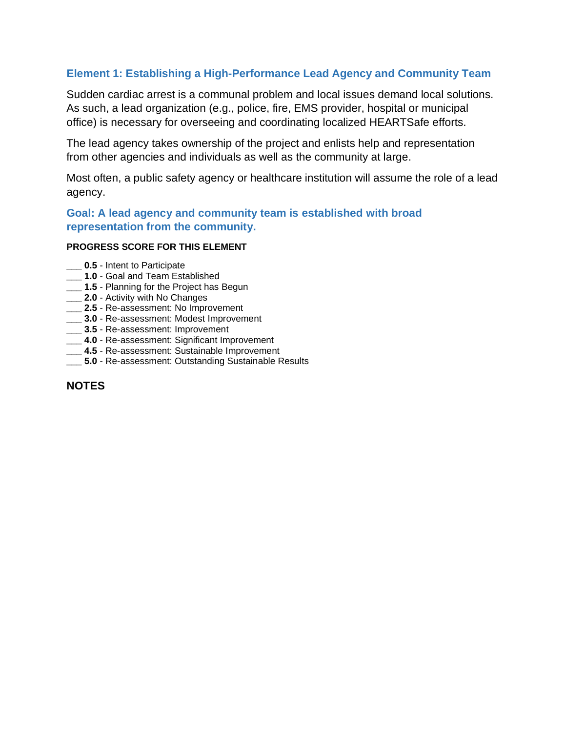# **Element 1: Establishing a High-Performance Lead Agency and Community Team**

Sudden cardiac arrest is a communal problem and local issues demand local solutions. As such, a lead organization (e.g., police, fire, EMS provider, hospital or municipal office) is necessary for overseeing and coordinating localized HEARTSafe efforts.

The lead agency takes ownership of the project and enlists help and representation from other agencies and individuals as well as the community at large.

Most often, a public safety agency or healthcare institution will assume the role of a lead agency.

**Goal: A lead agency and community team is established with broad representation from the community.**

#### **PROGRESS SCORE FOR THIS ELEMENT**

- **0.5** Intent to Participate
- **\_\_\_ 1.0**  Goal and Team Established
- **\_\_\_ 1.5**  Planning for the Project has Begun
- **\_\_\_ 2.0**  Activity with No Changes
- **\_\_\_ 2.5**  Re-assessment: No Improvement
- **\_\_\_ 3.0**  Re-assessment: Modest Improvement
- **\_\_\_ 3.5**  Re-assessment: Improvement
- **\_\_\_ 4.0**  Re-assessment: Significant Improvement
- **\_\_\_ 4.5**  Re-assessment: Sustainable Improvement
- **\_\_\_ 5.0**  Re-assessment: Outstanding Sustainable Results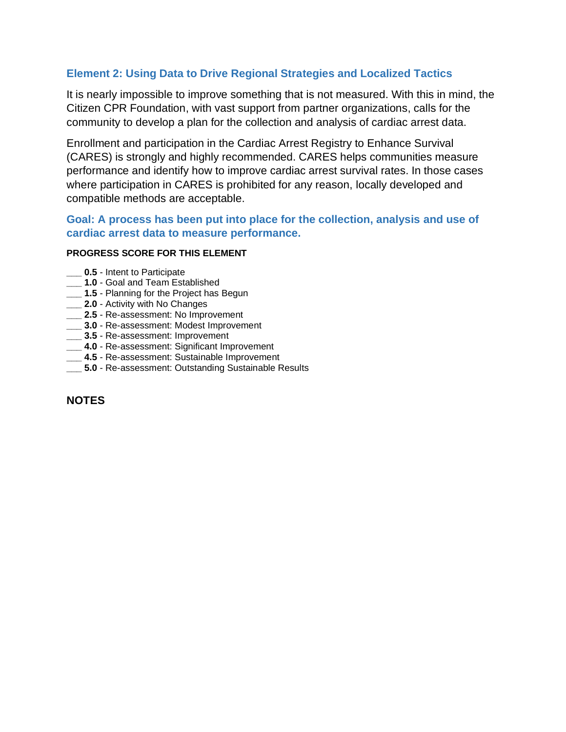## **Element 2: Using Data to Drive Regional Strategies and Localized Tactics**

It is nearly impossible to improve something that is not measured. With this in mind, the Citizen CPR Foundation, with vast support from partner organizations, calls for the community to develop a plan for the collection and analysis of cardiac arrest data.

Enrollment and participation in the Cardiac Arrest Registry to Enhance Survival (CARES) is strongly and highly recommended. CARES helps communities measure performance and identify how to improve cardiac arrest survival rates. In those cases where participation in CARES is prohibited for any reason, locally developed and compatible methods are acceptable.

# **Goal: A process has been put into place for the collection, analysis and use of cardiac arrest data to measure performance.**

#### **PROGRESS SCORE FOR THIS ELEMENT**

- **0.5** Intent to Participate
- **\_\_\_ 1.0**  Goal and Team Established
- **\_\_\_ 1.5**  Planning for the Project has Begun
- **\_\_\_ 2.0**  Activity with No Changes
- **\_\_\_ 2.5**  Re-assessment: No Improvement
- **\_\_\_ 3.0**  Re-assessment: Modest Improvement
- **\_\_\_ 3.5**  Re-assessment: Improvement
- **\_\_\_ 4.0**  Re-assessment: Significant Improvement
- **\_\_\_ 4.5**  Re-assessment: Sustainable Improvement
- **\_\_\_ 5.0**  Re-assessment: Outstanding Sustainable Results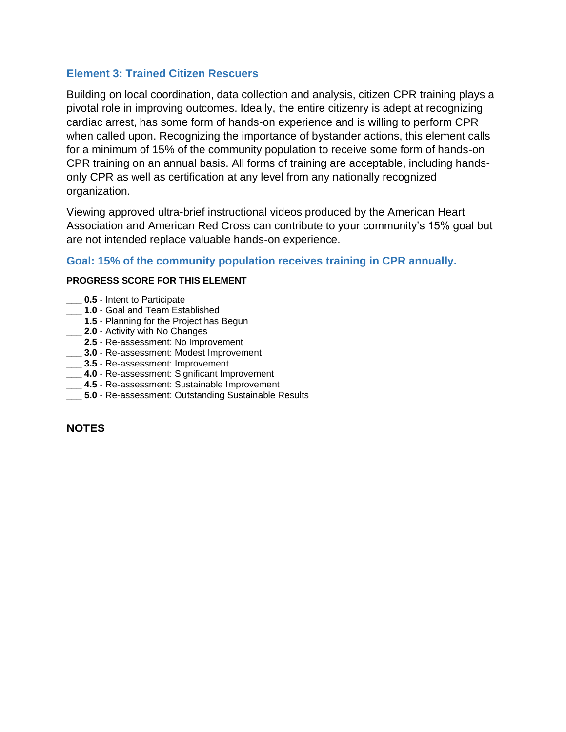## **Element 3: Trained Citizen Rescuers**

Building on local coordination, data collection and analysis, citizen CPR training plays a pivotal role in improving outcomes. Ideally, the entire citizenry is adept at recognizing cardiac arrest, has some form of hands-on experience and is willing to perform CPR when called upon. Recognizing the importance of bystander actions, this element calls for a minimum of 15% of the community population to receive some form of hands-on CPR training on an annual basis. All forms of training are acceptable, including handsonly CPR as well as certification at any level from any nationally recognized organization.

Viewing approved ultra-brief instructional videos produced by the American Heart Association and American Red Cross can contribute to your community's 15% goal but are not intended replace valuable hands-on experience.

## **Goal: 15% of the community population receives training in CPR annually.**

## **PROGRESS SCORE FOR THIS ELEMENT**

- **\_\_\_ 0.5**  Intent to Participate
- **\_\_\_ 1.0**  Goal and Team Established
- **\_\_\_ 1.5**  Planning for the Project has Begun
- **2.0** Activity with No Changes
- **\_\_\_ 2.5**  Re-assessment: No Improvement
- **\_\_\_ 3.0**  Re-assessment: Modest Improvement
- **\_\_\_ 3.5**  Re-assessment: Improvement
- **\_\_\_ 4.0**  Re-assessment: Significant Improvement
- **\_\_\_ 4.5**  Re-assessment: Sustainable Improvement
- **5.0** Re-assessment: Outstanding Sustainable Results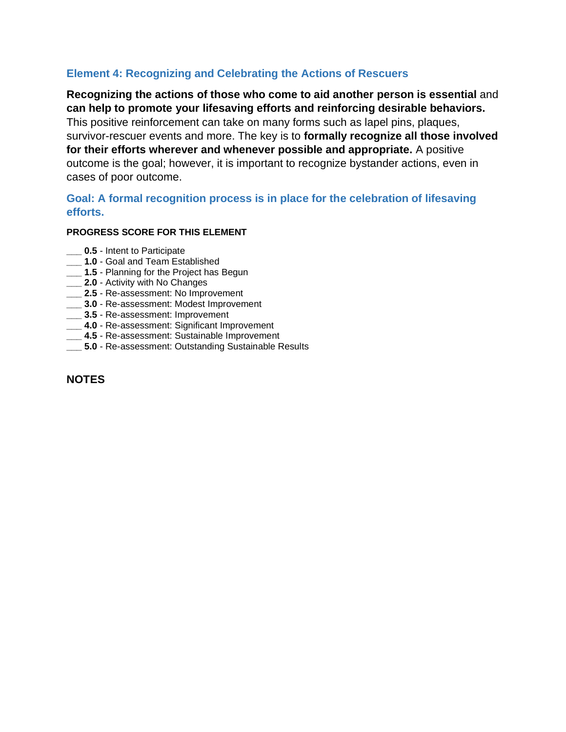## **Element 4: Recognizing and Celebrating the Actions of Rescuers**

**Recognizing the actions of those who come to aid another person is essential** and **can help to promote your lifesaving efforts and reinforcing desirable behaviors.**  This positive reinforcement can take on many forms such as lapel pins, plaques, survivor-rescuer events and more. The key is to **formally recognize all those involved for their efforts wherever and whenever possible and appropriate.** A positive outcome is the goal; however, it is important to recognize bystander actions, even in cases of poor outcome.

## **Goal: A formal recognition process is in place for the celebration of lifesaving efforts.**

## **PROGRESS SCORE FOR THIS ELEMENT**

- **\_\_\_ 0.5**  Intent to Participate
- **\_\_\_ 1.0**  Goal and Team Established
- 1.5 Planning for the Project has Begun
- **\_\_\_ 2.0**  Activity with No Changes
- **\_\_\_ 2.5**  Re-assessment: No Improvement
- **\_\_\_ 3.0**  Re-assessment: Modest Improvement
- **\_\_\_ 3.5**  Re-assessment: Improvement
- **\_\_\_ 4.0**  Re-assessment: Significant Improvement
- **\_\_\_ 4.5**  Re-assessment: Sustainable Improvement
- **\_\_\_ 5.0**  Re-assessment: Outstanding Sustainable Results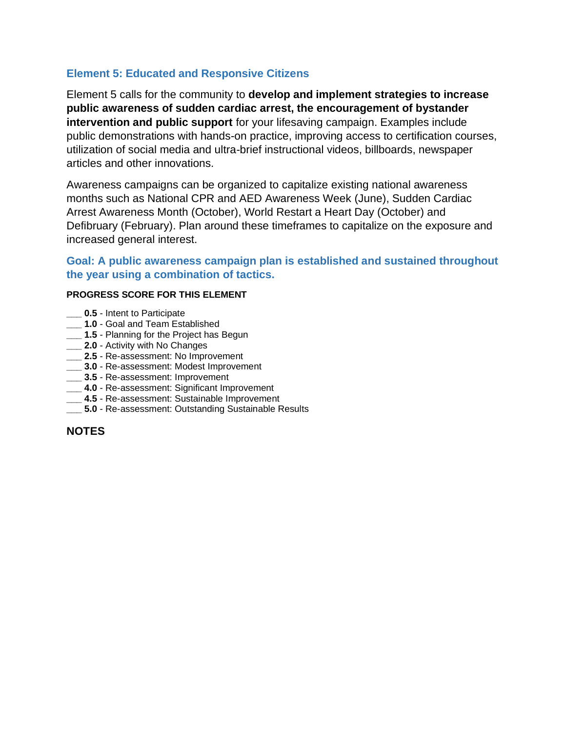## **Element 5: Educated and Responsive Citizens**

Element 5 calls for the community to **develop and implement strategies to increase public awareness of sudden cardiac arrest, the encouragement of bystander intervention and public support** for your lifesaving campaign. Examples include public demonstrations with hands-on practice, improving access to certification courses, utilization of social media and ultra-brief instructional videos, billboards, newspaper articles and other innovations.

Awareness campaigns can be organized to capitalize existing national awareness months such as National CPR and AED Awareness Week (June), Sudden Cardiac Arrest Awareness Month (October), World Restart a Heart Day (October) and Defibruary (February). Plan around these timeframes to capitalize on the exposure and increased general interest.

## **Goal: A public awareness campaign plan is established and sustained throughout the year using a combination of tactics.**

#### **PROGRESS SCORE FOR THIS ELEMENT**

- **0.5** Intent to Participate
- **\_\_\_ 1.0**  Goal and Team Established
- **\_\_\_ 1.5**  Planning for the Project has Begun
- **\_\_\_ 2.0**  Activity with No Changes
- **\_\_\_ 2.5**  Re-assessment: No Improvement
- **\_\_\_ 3.0**  Re-assessment: Modest Improvement
- **\_\_\_ 3.5**  Re-assessment: Improvement
- **\_\_\_ 4.0**  Re-assessment: Significant Improvement
- **\_\_\_ 4.5**  Re-assessment: Sustainable Improvement
- **5.0** Re-assessment: Outstanding Sustainable Results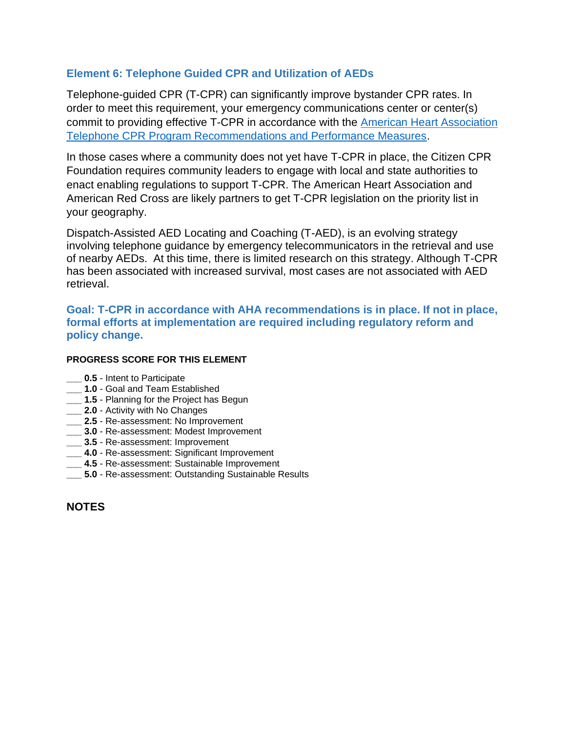## **Element 6: Telephone Guided CPR and Utilization of AEDs**

Telephone-guided CPR (T-CPR) can significantly improve bystander CPR rates. In order to meet this requirement, your emergency communications center or center(s) commit to providing effective T-CPR in accordance with the [American Heart Association](https://cpr.heart.org/en/resuscitation-science/telecommunicator-cpr/telecommunicator-cpr-recommendations-and-performance-measures)  [Telephone CPR Program Recommendations and Performance Measures.](https://cpr.heart.org/en/resuscitation-science/telecommunicator-cpr/telecommunicator-cpr-recommendations-and-performance-measures)

In those cases where a community does not yet have T-CPR in place, the Citizen CPR Foundation requires community leaders to engage with local and state authorities to enact enabling regulations to support T-CPR. The American Heart Association and American Red Cross are likely partners to get T-CPR legislation on the priority list in your geography.

Dispatch-Assisted AED Locating and Coaching (T-AED), is an evolving strategy involving telephone guidance by emergency telecommunicators in the retrieval and use of nearby AEDs. At this time, there is limited research on this strategy. Although T-CPR has been associated with increased survival, most cases are not associated with AED retrieval.

**Goal: T-CPR in accordance with AHA recommendations is in place. If not in place, formal efforts at implementation are required including regulatory reform and policy change.**

#### **PROGRESS SCORE FOR THIS ELEMENT**

- **\_\_\_ 0.5**  Intent to Participate
- **\_\_\_ 1.0**  Goal and Team Established
- **\_\_\_ 1.5**  Planning for the Project has Begun
- **12.0** Activity with No Changes
- **\_\_\_ 2.5**  Re-assessment: No Improvement
- **\_\_\_ 3.0**  Re-assessment: Modest Improvement
- **\_\_\_ 3.5**  Re-assessment: Improvement
- **\_\_\_ 4.0**  Re-assessment: Significant Improvement
- **\_\_\_ 4.5**  Re-assessment: Sustainable Improvement
- **\_\_\_ 5.0**  Re-assessment: Outstanding Sustainable Results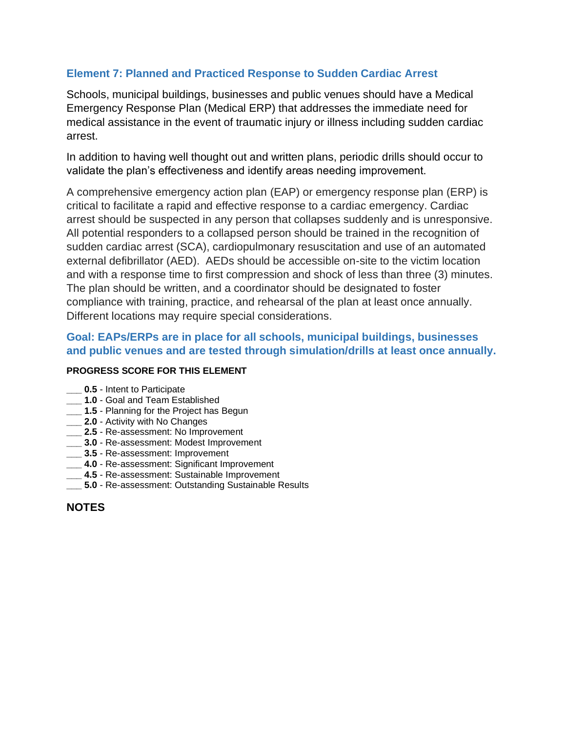# **Element 7: Planned and Practiced Response to Sudden Cardiac Arrest**

Schools, municipal buildings, businesses and public venues should have a Medical Emergency Response Plan (Medical ERP) that addresses the immediate need for medical assistance in the event of traumatic injury or illness including sudden cardiac arrest.

In addition to having well thought out and written plans, periodic drills should occur to validate the plan's effectiveness and identify areas needing improvement.

A comprehensive emergency action plan (EAP) or emergency response plan (ERP) is critical to facilitate a rapid and effective response to a cardiac emergency. Cardiac arrest should be suspected in any person that collapses suddenly and is unresponsive. All potential responders to a collapsed person should be trained in the recognition of sudden cardiac arrest (SCA), cardiopulmonary resuscitation and use of an automated external defibrillator (AED). AEDs should be accessible on-site to the victim location and with a response time to first compression and shock of less than three (3) minutes. The plan should be written, and a coordinator should be designated to foster compliance with training, practice, and rehearsal of the plan at least once annually. Different locations may require special considerations.

## **Goal: EAPs/ERPs are in place for all schools, municipal buildings, businesses and public venues and are tested through simulation/drills at least once annually.**

#### **PROGRESS SCORE FOR THIS ELEMENT**

- **0.5** Intent to Participate
- **\_\_\_ 1.0**  Goal and Team Established
- **\_\_\_ 1.5**  Planning for the Project has Begun
- **\_\_\_ 2.0**  Activity with No Changes
- **\_\_\_ 2.5**  Re-assessment: No Improvement
- **\_\_\_ 3.0**  Re-assessment: Modest Improvement
- **\_\_\_ 3.5**  Re-assessment: Improvement
- **\_\_\_ 4.0**  Re-assessment: Significant Improvement
- **\_\_\_ 4.5**  Re-assessment: Sustainable Improvement
- **\_\_\_ 5.0**  Re-assessment: Outstanding Sustainable Results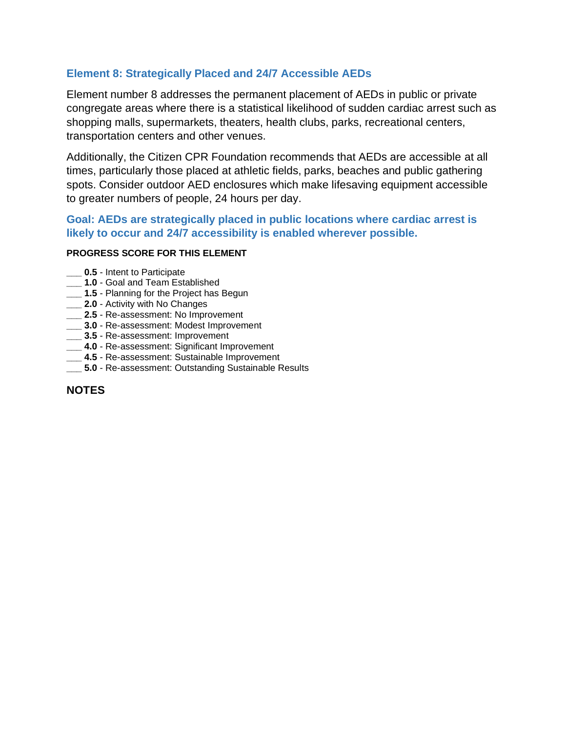## **Element 8: Strategically Placed and 24/7 Accessible AEDs**

Element number 8 addresses the permanent placement of AEDs in public or private congregate areas where there is a statistical likelihood of sudden cardiac arrest such as shopping malls, supermarkets, theaters, health clubs, parks, recreational centers, transportation centers and other venues.

Additionally, the Citizen CPR Foundation recommends that AEDs are accessible at all times, particularly those placed at athletic fields, parks, beaches and public gathering spots. Consider outdoor AED enclosures which make lifesaving equipment accessible to greater numbers of people, 24 hours per day.

## **Goal: AEDs are strategically placed in public locations where cardiac arrest is likely to occur and 24/7 accessibility is enabled wherever possible.**

#### **PROGRESS SCORE FOR THIS ELEMENT**

- **\_\_\_ 0.5**  Intent to Participate
- **\_\_\_ 1.0**  Goal and Team Established
- **\_\_\_ 1.5**  Planning for the Project has Begun
- **\_\_\_ 2.0**  Activity with No Changes
- **\_\_\_ 2.5**  Re-assessment: No Improvement
- **\_\_\_ 3.0**  Re-assessment: Modest Improvement
- **\_\_\_ 3.5**  Re-assessment: Improvement
- **\_\_\_ 4.0**  Re-assessment: Significant Improvement
- **\_\_\_ 4.5**  Re-assessment: Sustainable Improvement
- **\_\_\_ 5.0**  Re-assessment: Outstanding Sustainable Results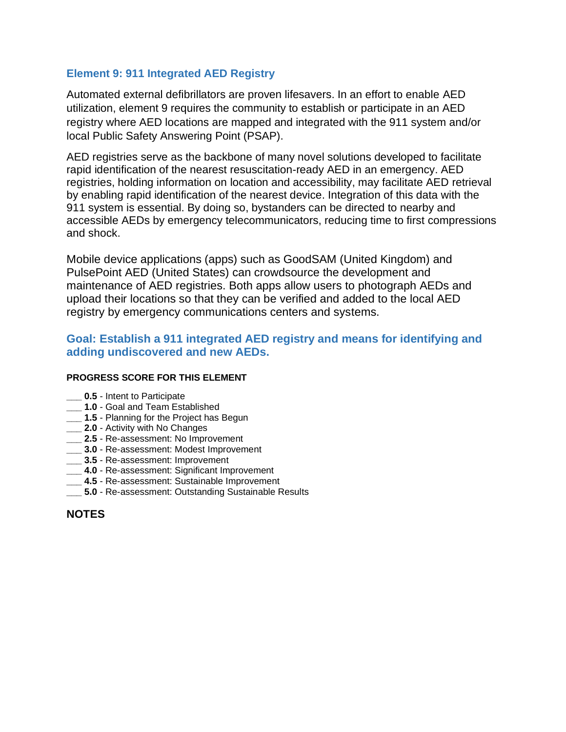## **Element 9: 911 Integrated AED Registry**

Automated external defibrillators are proven lifesavers. In an effort to enable AED utilization, element 9 requires the community to establish or participate in an AED registry where AED locations are mapped and integrated with the 911 system and/or local Public Safety Answering Point (PSAP).

AED registries serve as the backbone of many novel solutions developed to facilitate rapid identification of the nearest resuscitation-ready AED in an emergency. AED registries, holding information on location and accessibility, may facilitate AED retrieval by enabling rapid identification of the nearest device. Integration of this data with the 911 system is essential. By doing so, bystanders can be directed to nearby and accessible AEDs by emergency telecommunicators, reducing time to first compressions and shock.

Mobile device applications (apps) such as GoodSAM (United Kingdom) and PulsePoint AED (United States) can crowdsource the development and maintenance of AED registries. Both apps allow users to photograph AEDs and upload their locations so that they can be verified and added to the local AED registry by emergency communications centers and systems.

# **Goal: Establish a 911 integrated AED registry and means for identifying and adding undiscovered and new AEDs.**

#### **PROGRESS SCORE FOR THIS ELEMENT**

- **\_\_\_ 0.5**  Intent to Participate
- **\_\_\_ 1.0**  Goal and Team Established
- **\_\_\_ 1.5**  Planning for the Project has Begun
- **2.0** Activity with No Changes
- **\_\_\_ 2.5**  Re-assessment: No Improvement
- **\_\_\_ 3.0**  Re-assessment: Modest Improvement
- **\_\_\_ 3.5**  Re-assessment: Improvement
- **\_\_\_ 4.0**  Re-assessment: Significant Improvement
- **\_\_\_ 4.5**  Re-assessment: Sustainable Improvement
- **5.0** Re-assessment: Outstanding Sustainable Results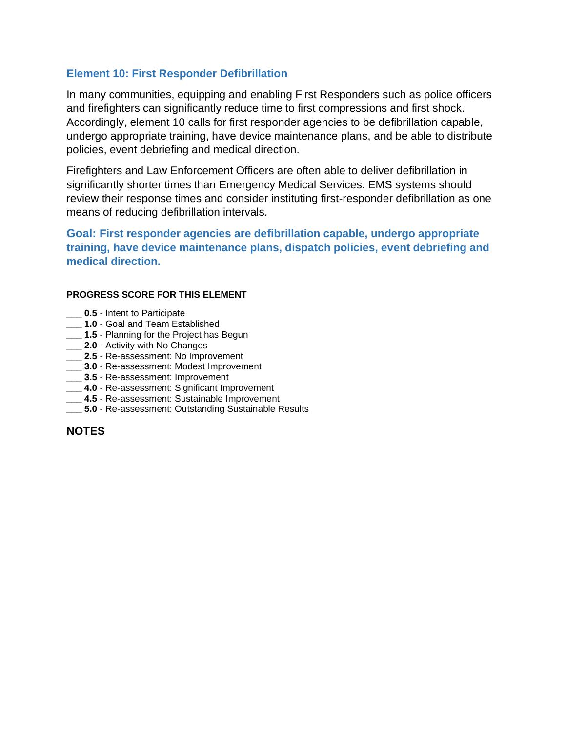## **Element 10: First Responder Defibrillation**

In many communities, equipping and enabling First Responders such as police officers and firefighters can significantly reduce time to first compressions and first shock. Accordingly, element 10 calls for first responder agencies to be defibrillation capable, undergo appropriate training, have device maintenance plans, and be able to distribute policies, event debriefing and medical direction.

Firefighters and Law Enforcement Officers are often able to deliver defibrillation in significantly shorter times than Emergency Medical Services. EMS systems should review their response times and consider instituting first-responder defibrillation as one means of reducing defibrillation intervals.

**Goal: First responder agencies are defibrillation capable, undergo appropriate training, have device maintenance plans, dispatch policies, event debriefing and medical direction.**

#### **PROGRESS SCORE FOR THIS ELEMENT**

- **0.5** Intent to Participate
- **\_\_\_ 1.0**  Goal and Team Established
- **\_\_\_ 1.5**  Planning for the Project has Begun
- **\_\_\_ 2.0**  Activity with No Changes
- **\_\_\_ 2.5**  Re-assessment: No Improvement
- **\_\_\_ 3.0**  Re-assessment: Modest Improvement
- **\_\_\_ 3.5**  Re-assessment: Improvement
- **\_\_\_ 4.0**  Re-assessment: Significant Improvement
- **\_\_\_ 4.5**  Re-assessment: Sustainable Improvement
- **5.0** Re-assessment: Outstanding Sustainable Results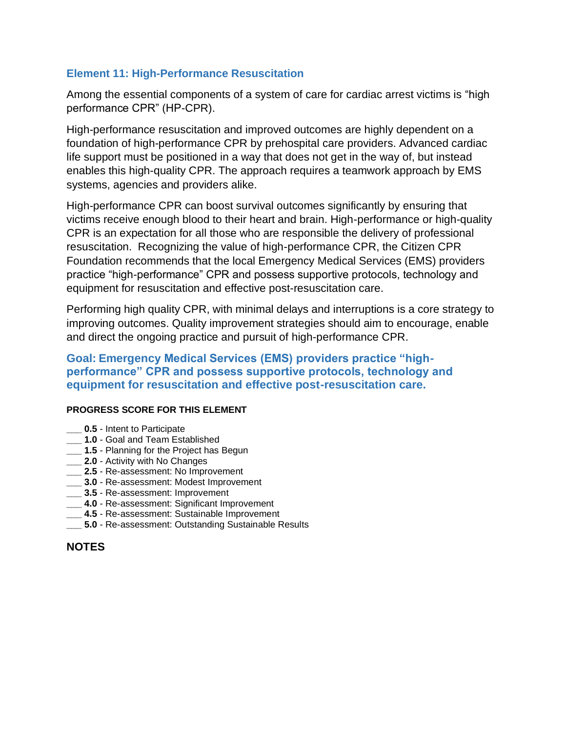# **Element 11: High-Performance Resuscitation**

Among the essential components of a system of care for cardiac arrest victims is "high performance CPR" (HP-CPR).

High-performance resuscitation and improved outcomes are highly dependent on a foundation of high-performance CPR by prehospital care providers. Advanced cardiac life support must be positioned in a way that does not get in the way of, but instead enables this high-quality CPR. The approach requires a teamwork approach by EMS systems, agencies and providers alike.

High-performance CPR can boost survival outcomes significantly by ensuring that victims receive enough blood to their heart and brain. High-performance or high-quality CPR is an expectation for all those who are responsible the delivery of professional resuscitation. Recognizing the value of high-performance CPR, the Citizen CPR Foundation recommends that the local Emergency Medical Services (EMS) providers practice "high-performance" CPR and possess supportive protocols, technology and equipment for resuscitation and effective post-resuscitation care.

Performing high quality CPR, with minimal delays and interruptions is a core strategy to improving outcomes. Quality improvement strategies should aim to encourage, enable and direct the ongoing practice and pursuit of high-performance CPR.

## **Goal: Emergency Medical Services (EMS) providers practice "highperformance" CPR and possess supportive protocols, technology and equipment for resuscitation and effective post-resuscitation care.**

#### **PROGRESS SCORE FOR THIS ELEMENT**

- **0.5** Intent to Participate
- **\_\_\_ 1.0**  Goal and Team Established
- **\_\_\_ 1.5**  Planning for the Project has Begun
- **\_\_\_ 2.0**  Activity with No Changes
- **\_\_\_ 2.5**  Re-assessment: No Improvement
- **\_\_\_ 3.0**  Re-assessment: Modest Improvement
- **\_\_\_ 3.5**  Re-assessment: Improvement
- **\_\_\_ 4.0** Re-assessment: Significant Improvement
- **\_\_\_ 4.5**  Re-assessment: Sustainable Improvement
- **\_\_\_ 5.0**  Re-assessment: Outstanding Sustainable Results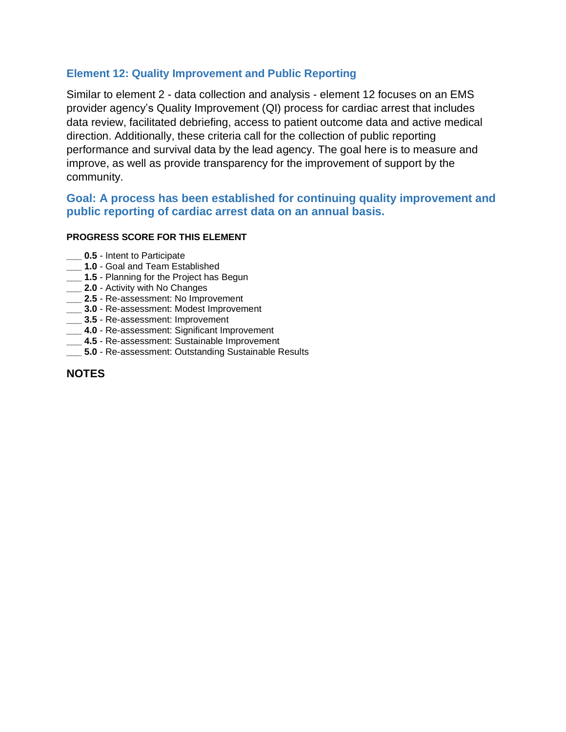## **Element 12: Quality Improvement and Public Reporting**

Similar to element 2 - data collection and analysis - element 12 focuses on an EMS provider agency's Quality Improvement (QI) process for cardiac arrest that includes data review, facilitated debriefing, access to patient outcome data and active medical direction. Additionally, these criteria call for the collection of public reporting performance and survival data by the lead agency. The goal here is to measure and improve, as well as provide transparency for the improvement of support by the community.

## **Goal: A process has been established for continuing quality improvement and public reporting of cardiac arrest data on an annual basis.**

#### **PROGRESS SCORE FOR THIS ELEMENT**

- **0.5** Intent to Participate
- **\_\_\_ 1.0**  Goal and Team Established
- **\_\_\_ 1.5**  Planning for the Project has Begun
- **\_\_\_ 2.0**  Activity with No Changes
- **\_\_\_ 2.5**  Re-assessment: No Improvement
- **\_\_\_ 3.0**  Re-assessment: Modest Improvement
- **\_\_\_ 3.5**  Re-assessment: Improvement
- **\_\_\_ 4.0**  Re-assessment: Significant Improvement
- **\_\_\_ 4.5**  Re-assessment: Sustainable Improvement
- **5.0** Re-assessment: Outstanding Sustainable Results